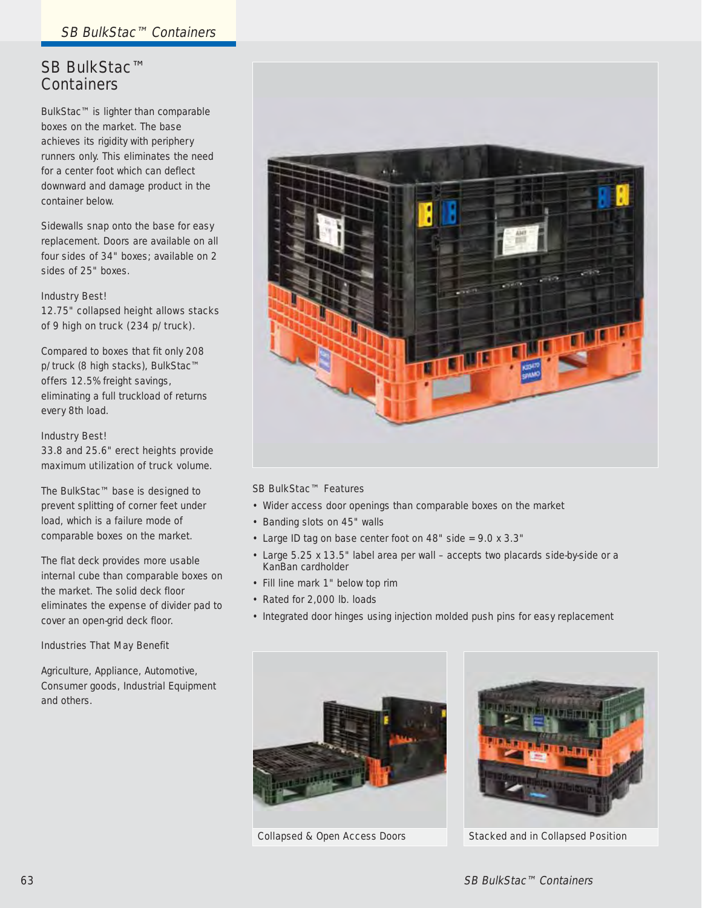## SB BulkStac™ **Containers**

BulkStac™ is lighter than comparable boxes on the market. The base achieves its rigidity with periphery runners only. This eliminates the need for a center foot which can deflect downward and damage product in the container below.

Sidewalls snap onto the base for easy replacement. Doors are available on all four sides of 34" boxes; available on 2 sides of 25" boxes.

# Industry Best!

12.75" collapsed height allows stacks of 9 high on truck (234 p/truck).

Compared to boxes that fit only 208 p/truck (8 high stacks), BulkStac™ offers 12.5% freight savings, eliminating a full truckload of returns every 8th load.

#### Industry Best! 33.8 and 25.6" erect heights provide

maximum utilization of truck volume.

The BulkStac™ base is designed to prevent splitting of corner feet under load, which is a failure mode of comparable boxes on the market.

The flat deck provides more usable internal cube than comparable boxes on the market. The solid deck floor eliminates the expense of divider pad to cover an open-grid deck floor.

#### Industries That May Benefit

Agriculture, Appliance, Automotive, Consumer goods, Industrial Equipment and others.



#### SB BulkStac™ Features

- Wider access door openings than comparable boxes on the market
- Banding slots on 45" walls
- Large ID tag on base center foot on 48" side = 9.0 x 3.3"
- Large 5.25 x 13.5" label area per wall accepts two placards side-by-side or a KanBan cardholder
- Fill line mark 1" below top rim
- Rated for 2,000 lb. loads
- Integrated door hinges using injection molded push pins for easy replacement





Collapsed & Open Access Doors Stacked and in Collapsed Position